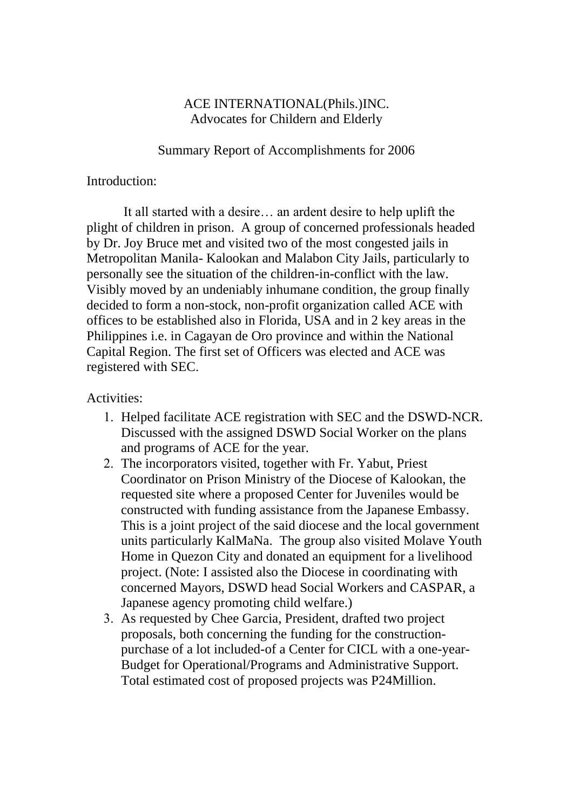## ACE INTERNATIONAL(Phils.)INC. Advocates for Childern and Elderly

Summary Report of Accomplishments for 2006

## Introduction:

 It all started with a desire… an ardent desire to help uplift the plight of children in prison. A group of concerned professionals headed by Dr. Joy Bruce met and visited two of the most congested jails in Metropolitan Manila- Kalookan and Malabon City Jails, particularly to personally see the situation of the children-in-conflict with the law. Visibly moved by an undeniably inhumane condition, the group finally decided to form a non-stock, non-profit organization called ACE with offices to be established also in Florida, USA and in 2 key areas in the Philippines i.e. in Cagayan de Oro province and within the National Capital Region. The first set of Officers was elected and ACE was registered with SEC.

## Activities:

- 1. Helped facilitate ACE registration with SEC and the DSWD-NCR. Discussed with the assigned DSWD Social Worker on the plans and programs of ACE for the year.
- 2. The incorporators visited, together with Fr. Yabut, Priest Coordinator on Prison Ministry of the Diocese of Kalookan, the requested site where a proposed Center for Juveniles would be constructed with funding assistance from the Japanese Embassy. This is a joint project of the said diocese and the local government units particularly KalMaNa. The group also visited Molave Youth Home in Quezon City and donated an equipment for a livelihood project. (Note: I assisted also the Diocese in coordinating with concerned Mayors, DSWD head Social Workers and CASPAR, a Japanese agency promoting child welfare.)
- 3. As requested by Chee Garcia, President, drafted two project proposals, both concerning the funding for the constructionpurchase of a lot included-of a Center for CICL with a one-year-Budget for Operational/Programs and Administrative Support. Total estimated cost of proposed projects was P24Million.